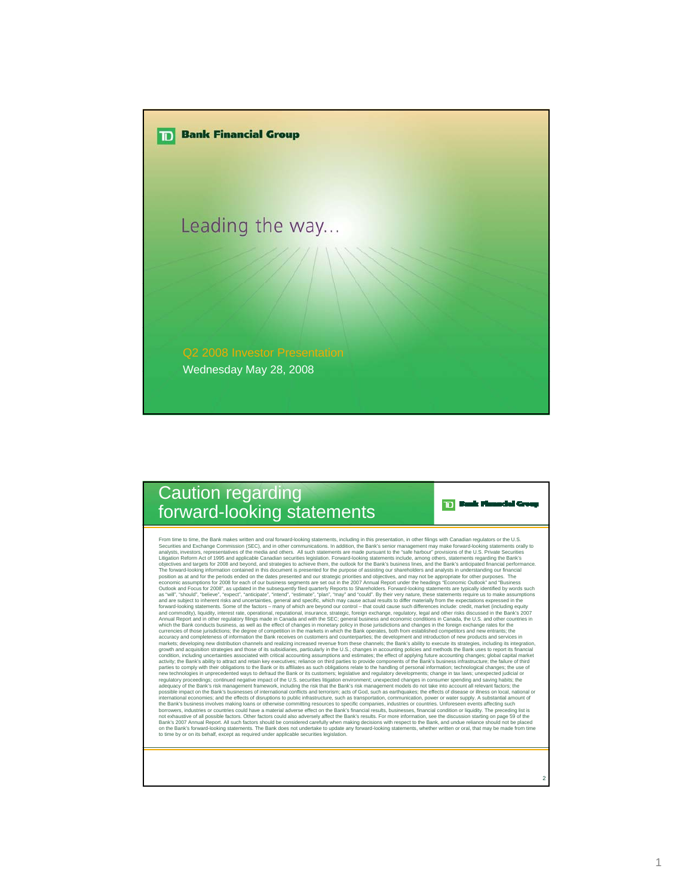

## Caution regarding forward-looking statements

From time to time, the Bank makes written and oral forward-looking statements, including in this presentation, in other filings with Canadian regulators or the U.S. Pharmas in the State forest and the State (aligning in th condition, including uncertainties associated with critical accounting assumptions and estimates; the effect of aplying future accounting and existing the meant of appling interact and retaint expectives; reliance on third

2

**TD** Bank Munaclei Group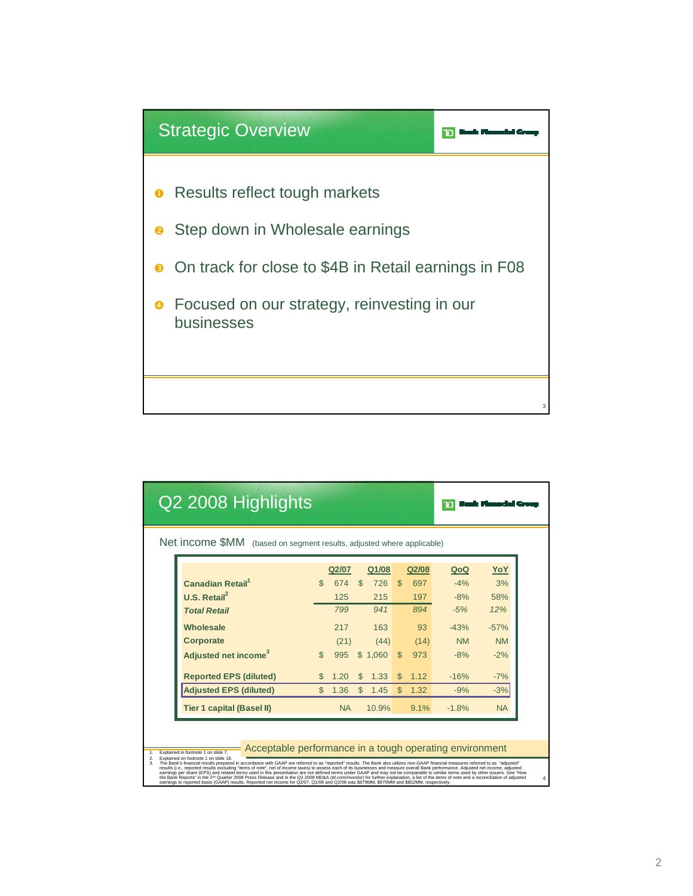

| Q2 2008 Highlights                                                    |                |           |              |         |               |       |           |            |
|-----------------------------------------------------------------------|----------------|-----------|--------------|---------|---------------|-------|-----------|------------|
| Net income \$MM (based on segment results, adjusted where applicable) |                |           |              |         |               |       |           |            |
|                                                                       |                | Q2/07     |              | Q1/08   |               | Q2/08 | QoQ       | <u>YoY</u> |
| <b>Canadian Retail</b> <sup>1</sup>                                   | $\mathfrak{L}$ | 674       | $\mathbb{S}$ | 726     | <sup>\$</sup> | 697   | $-4%$     | 3%         |
| U.S. Retail <sup>2</sup>                                              |                | 125       |              | 215     |               | 197   | $-8%$     | 58%        |
| <b>Total Retail</b>                                                   |                | 799       |              | 941     |               | 894   | $-5%$     | 12%        |
| Wholesale                                                             |                | 217       |              | 163     |               | 93    | $-43%$    | $-57%$     |
| Corporate                                                             |                | (21)      |              | (44)    |               | (14)  | <b>NM</b> | <b>NM</b>  |
| Adjusted net income <sup>3</sup>                                      |                | 995       |              | \$1,060 | $\mathcal{S}$ | 973   | $-8%$     | $-2%$      |
| <b>Reported EPS (diluted)</b>                                         | \$.            | 1.20      | $\mathbb{S}$ | 1.33    | $\mathcal{S}$ | 1.12  | $-16%$    | $-7%$      |
| <b>Adjusted EPS (diluted)</b>                                         | $\mathfrak{L}$ | 1.36      | $\mathbb{S}$ | 1.45    | $\mathbb{S}$  | 1.32  | $-9%$     | $-3%$      |
| <b>Tier 1 capital (Basel II)</b>                                      |                | <b>NA</b> |              | 10.9%   |               | 9.1%  | $-1.8%$   | <b>NA</b>  |

## Acceptable performance in a tough operating environment

1. Explained in footnote 1 on side 18.<br>2. Explained in footnote 1 on side 7.8.<br>2. Explained in footnote 1 on side 18.<br>2. Explained in footnote 1 on side 8.<br>3. The Bank Raft Christian Control of the Christian Control of the

4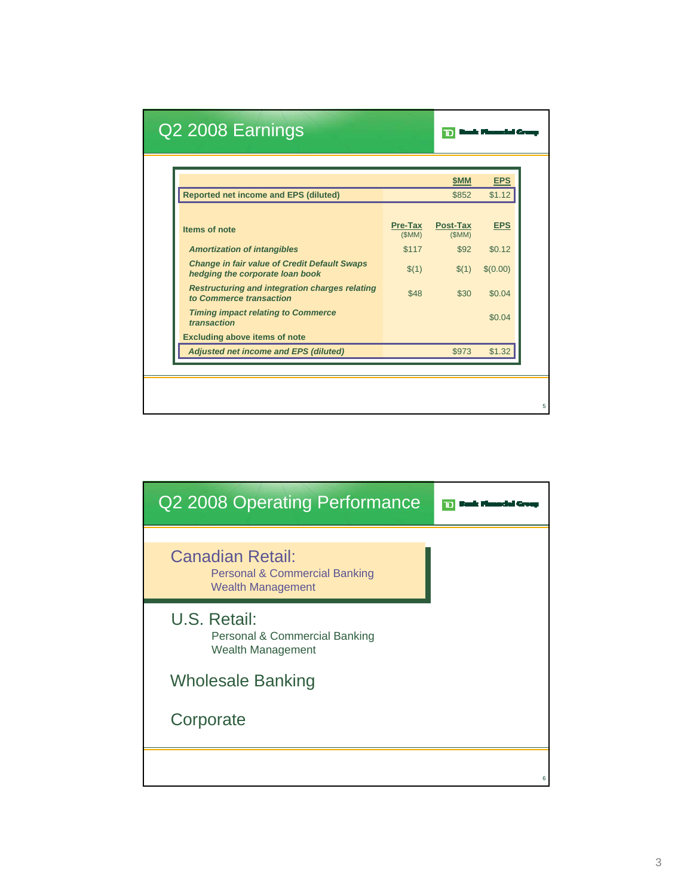|                                                                                        |                  | <b>SMM</b>        | <b>EPS</b> |
|----------------------------------------------------------------------------------------|------------------|-------------------|------------|
| <b>Reported net income and EPS (diluted)</b>                                           |                  | \$852             | \$1.12     |
| Items of note                                                                          | Pre-Tax<br>(SMM) | Post-Tax<br>(SMM) | <b>EPS</b> |
| <b>Amortization of intangibles</b>                                                     | \$117            | \$92              | \$0.12     |
| <b>Change in fair value of Credit Default Swaps</b><br>hedging the corporate loan book | \$(1)            | \$(1)             | \$(0.00)   |
| <b>Restructuring and integration charges relating</b><br>to Commerce transaction       | \$48             | \$30              | \$0.04     |
| <b>Timing impact relating to Commerce</b><br>transaction                               |                  |                   | \$0.04     |
| <b>Excluding above items of note</b>                                                   |                  |                   |            |
| <b>Adjusted net income and EPS (diluted)</b>                                           |                  | \$973             | \$1.32     |

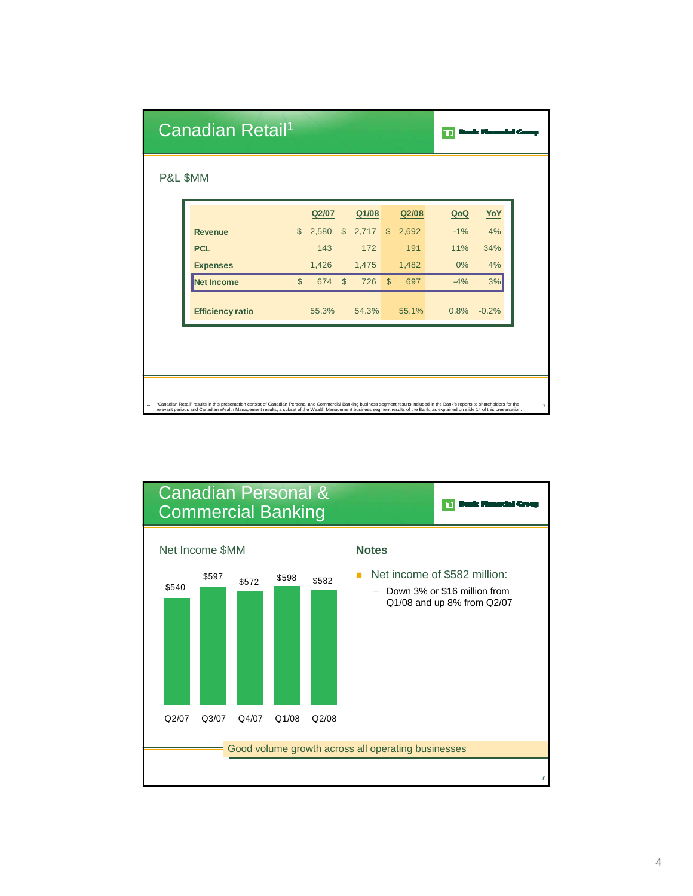| Canadian Retail <sup>1</sup> |                |       |                |            |              |       | Ю     |         |
|------------------------------|----------------|-------|----------------|------------|--------------|-------|-------|---------|
| P&L \$MM                     |                |       |                |            |              |       |       |         |
|                              |                | Q2/07 |                | Q1/08      |              | Q2/08 | QoQ   | YoY     |
| <b>Revenue</b>               | $\mathfrak{S}$ | 2,580 | $\mathfrak{S}$ | $2,717$ \$ |              | 2,692 | $-1%$ | 4%      |
| <b>PCL</b>                   |                | 143   |                | 172        |              | 191   | 11%   | 34%     |
| <b>Expenses</b>              |                | 1,426 |                | 1,475      |              | 1,482 | 0%    | 4%      |
| <b>Net Income</b>            | $\mathbb{S}$   | 674   | $\mathbb{S}$   | 726        | $\mathbb{S}$ | 697   | $-4%$ | 3%      |
| <b>Efficiency ratio</b>      |                | 55.3% |                | 54.3%      |              | 55.1% | 0.8%  | $-0.2%$ |

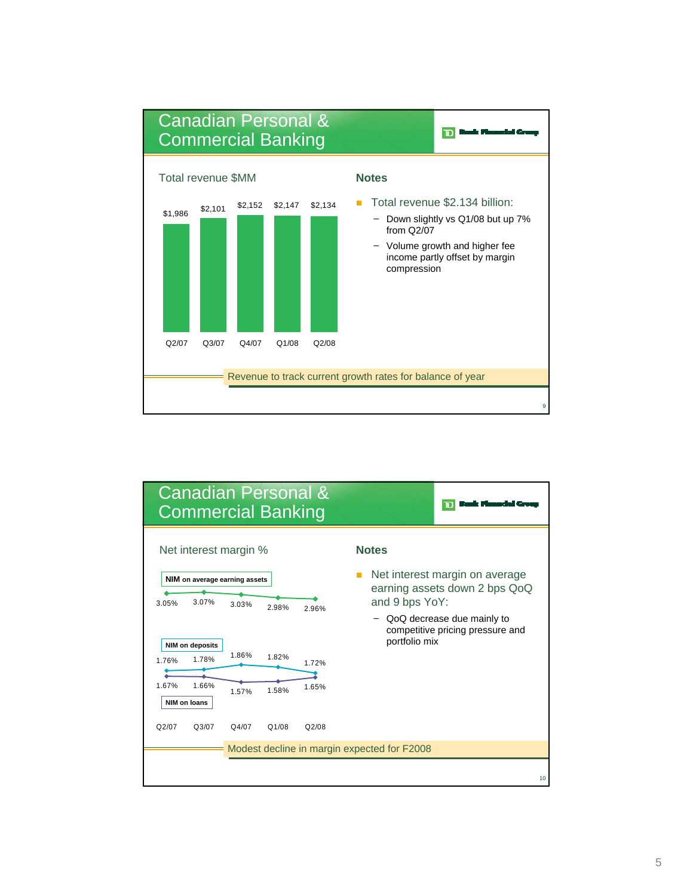

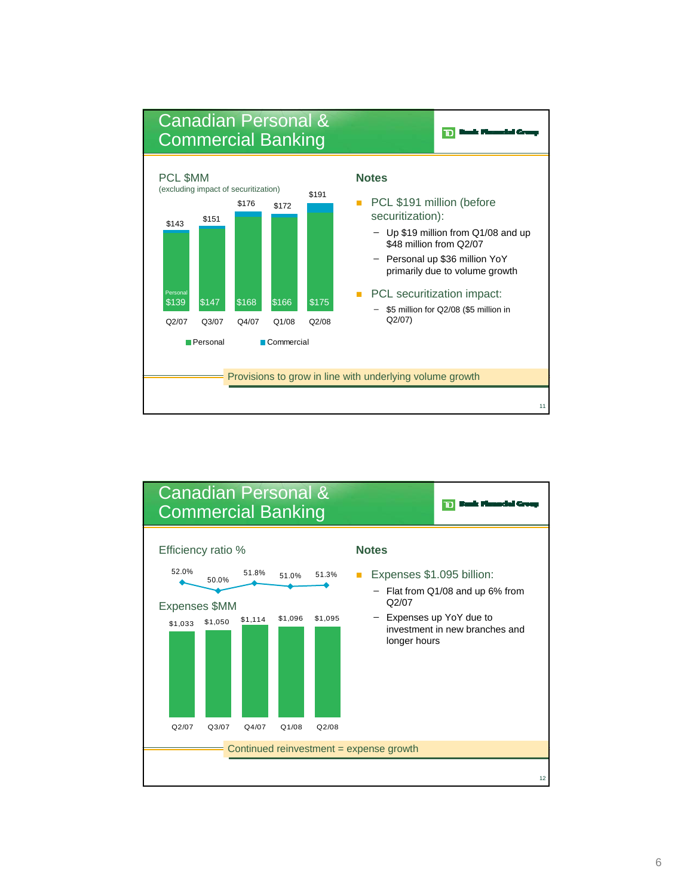

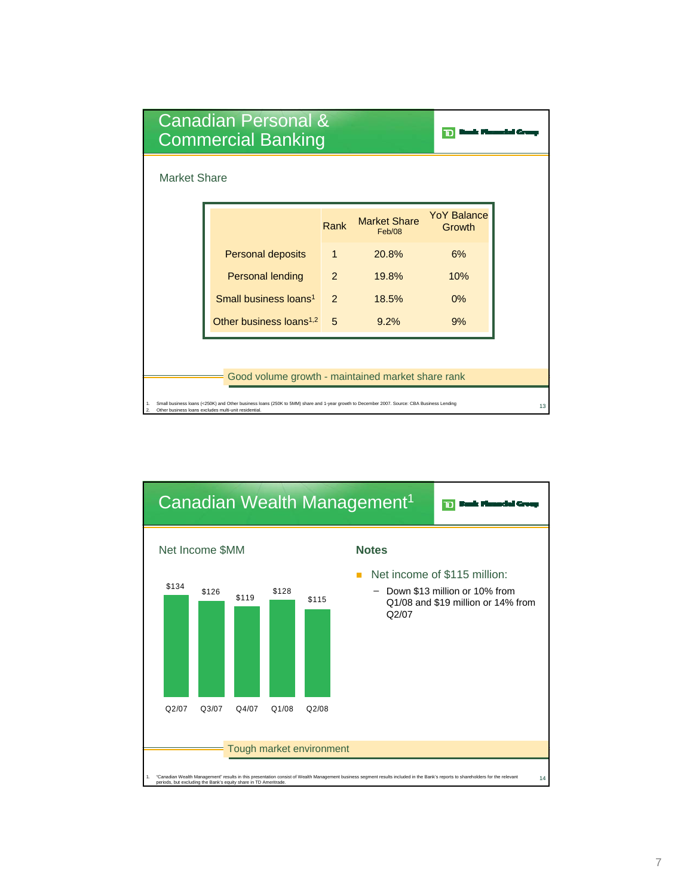| <b>Canadian Personal &amp;</b><br><b>Commercial Banking</b>                                                                                                                                                                       |                                     |               |                               |                              |  |  |  |
|-----------------------------------------------------------------------------------------------------------------------------------------------------------------------------------------------------------------------------------|-------------------------------------|---------------|-------------------------------|------------------------------|--|--|--|
| <b>Market Share</b>                                                                                                                                                                                                               |                                     |               |                               |                              |  |  |  |
|                                                                                                                                                                                                                                   |                                     | Rank          | <b>Market Share</b><br>Feb/08 | <b>YoY Balance</b><br>Growth |  |  |  |
|                                                                                                                                                                                                                                   | Personal deposits                   | $\mathbf{1}$  | 20.8%                         | 6%                           |  |  |  |
|                                                                                                                                                                                                                                   | <b>Personal lending</b>             | $\mathcal{P}$ | 19.8%                         | 10%                          |  |  |  |
|                                                                                                                                                                                                                                   | Small business loans <sup>1</sup>   | $\mathcal{P}$ | 18.5%                         | 0%                           |  |  |  |
|                                                                                                                                                                                                                                   | Other business loans <sup>1,2</sup> | 5             | 9.2%                          | 9%                           |  |  |  |
|                                                                                                                                                                                                                                   |                                     |               |                               |                              |  |  |  |
| Good volume growth - maintained market share rank                                                                                                                                                                                 |                                     |               |                               |                              |  |  |  |
| Small business loans (<250K) and Other business loans (250K to 5MM) share and 1-year growth to December 2007. Source: CBA Business Lending<br>1.<br>13<br>Other business loans excludes multi-unit residential.<br>$\mathfrak{D}$ |                                     |               |                               |                              |  |  |  |

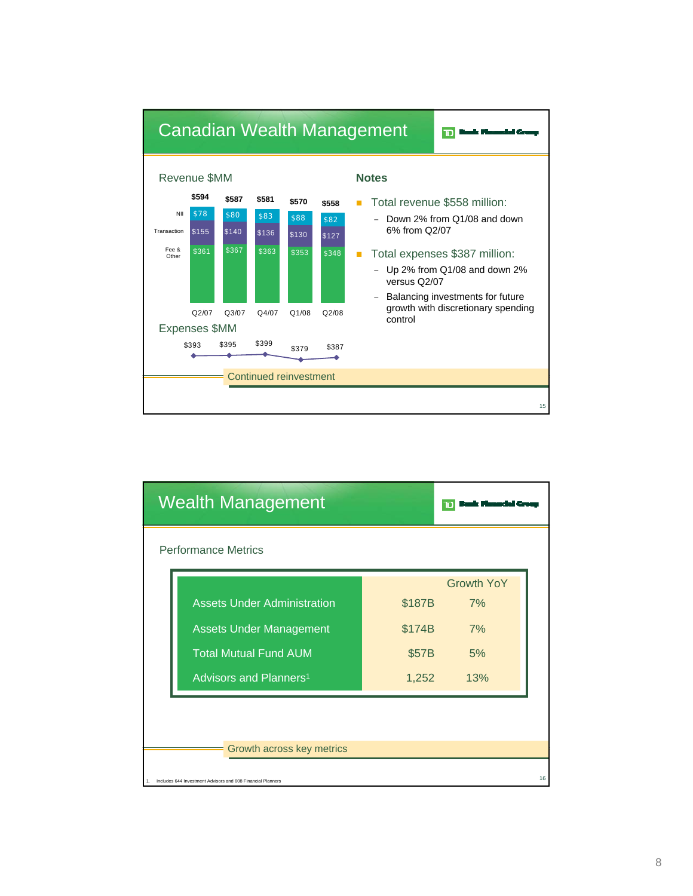

| <b>Wealth Management</b>                                       |                                    |        |                   |    |
|----------------------------------------------------------------|------------------------------------|--------|-------------------|----|
| <b>Performance Metrics</b>                                     |                                    |        |                   |    |
|                                                                |                                    |        | <b>Growth YoY</b> |    |
|                                                                | <b>Assets Under Administration</b> | \$187B | 7%                |    |
|                                                                | <b>Assets Under Management</b>     | \$174B | 7%                |    |
|                                                                | <b>Total Mutual Fund AUM</b>       |        | 5%                |    |
|                                                                | Advisors and Planners <sup>1</sup> | 1,252  | 13%               |    |
|                                                                |                                    |        |                   |    |
|                                                                |                                    |        |                   |    |
|                                                                | Growth across key metrics          |        |                   |    |
| 1. Includes 644 Investment Advisors and 608 Financial Planners |                                    |        |                   | 16 |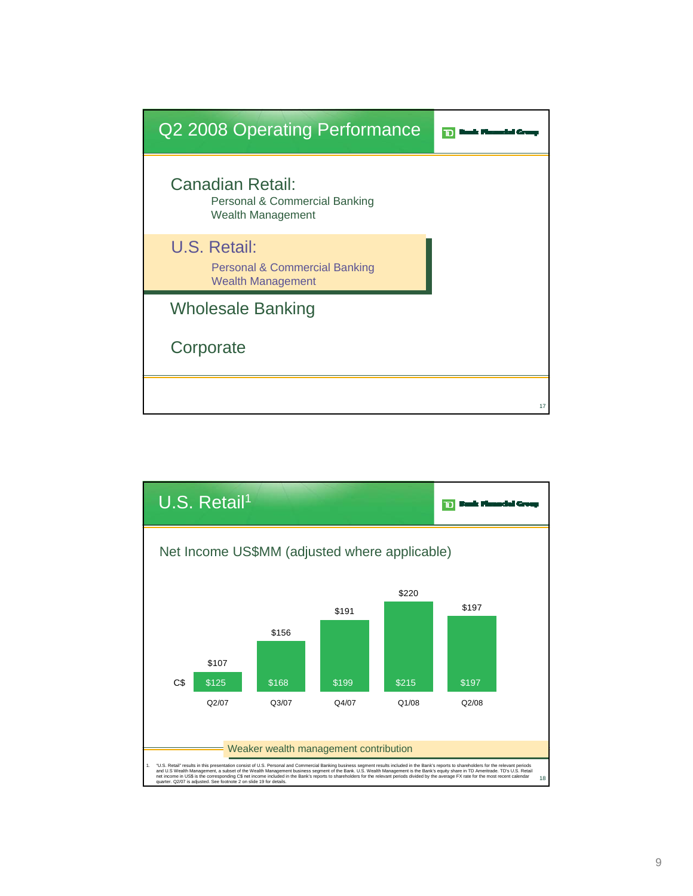

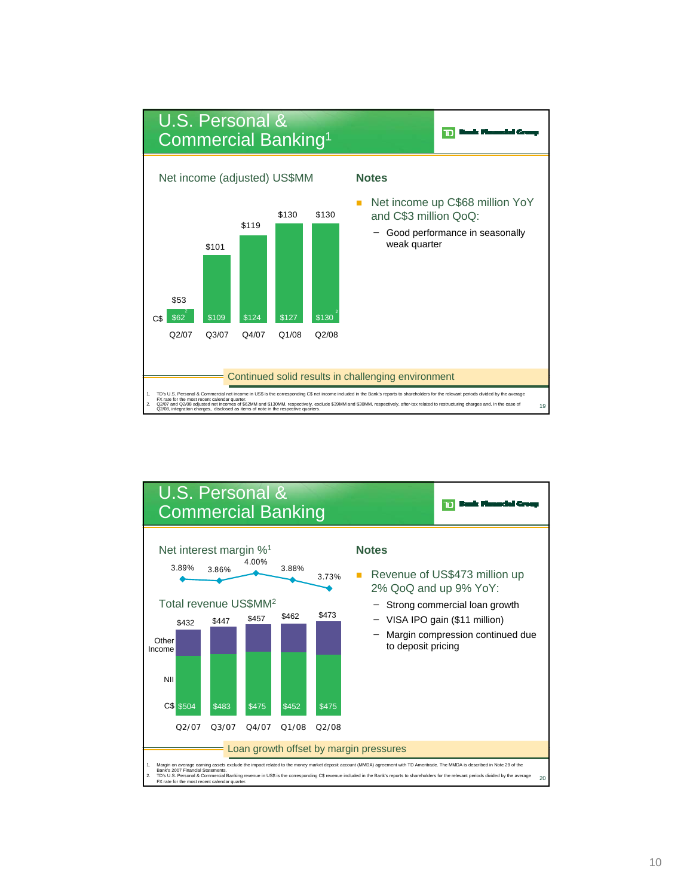

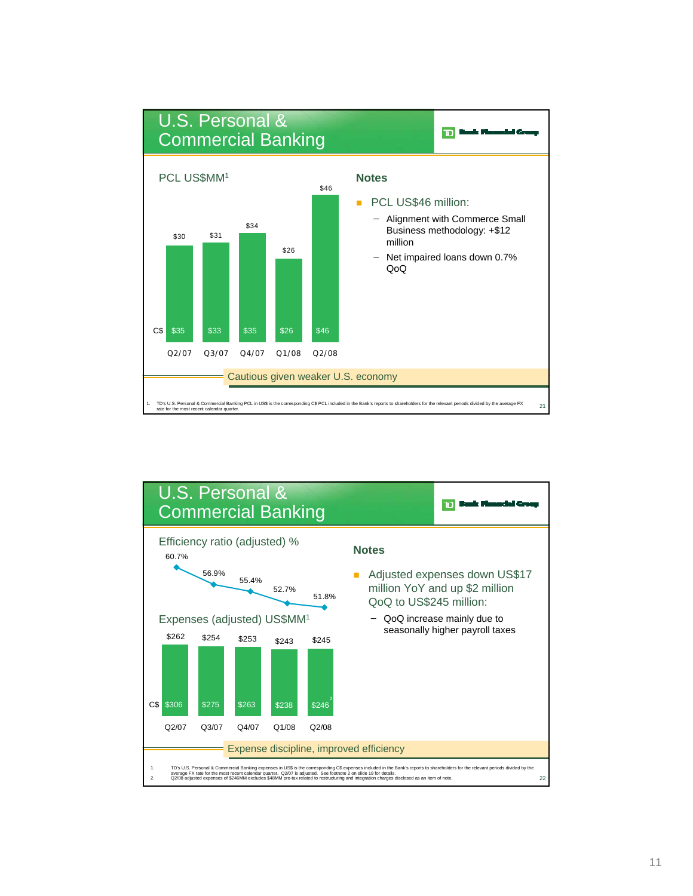

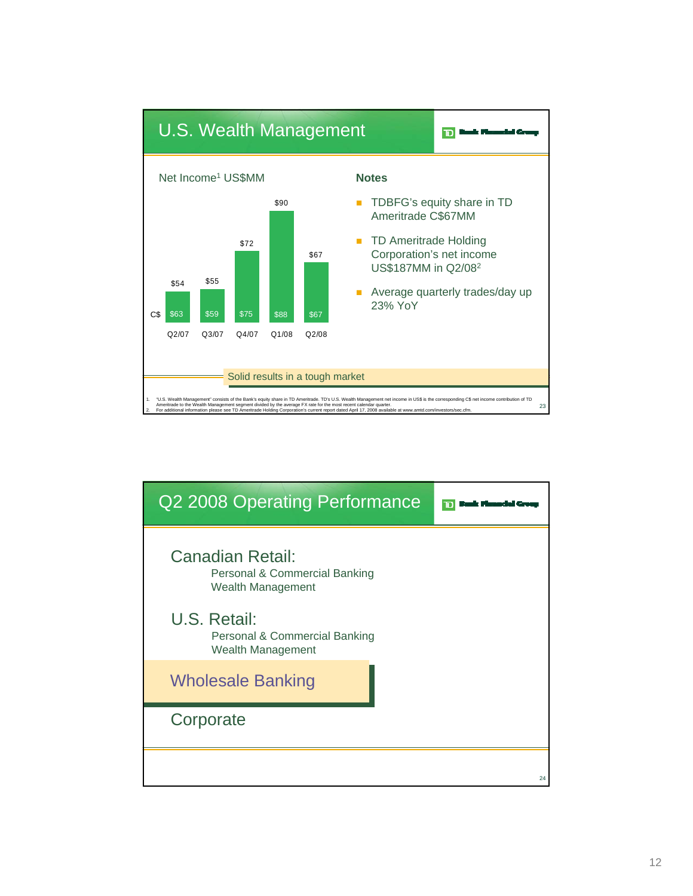

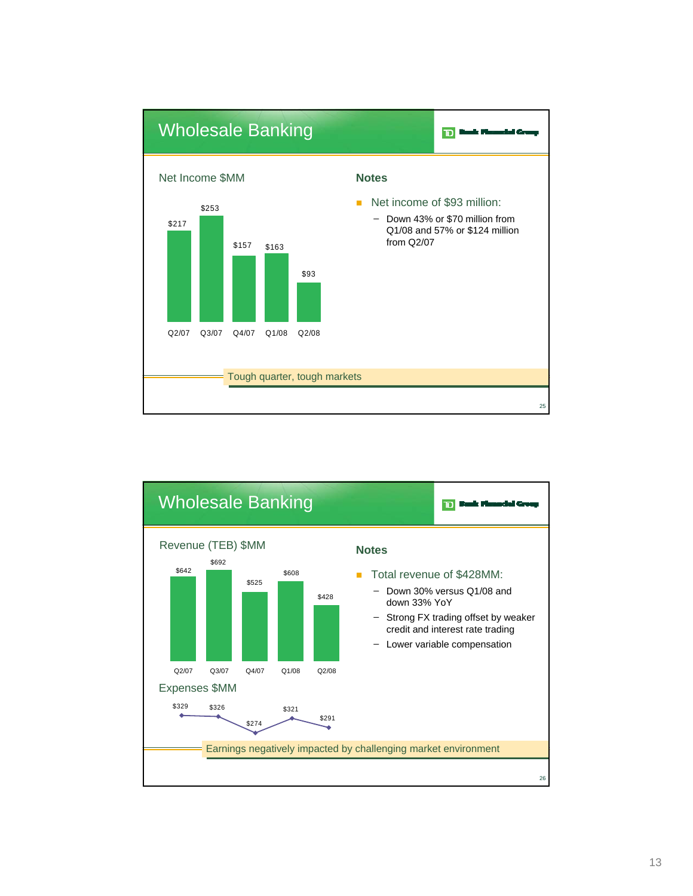

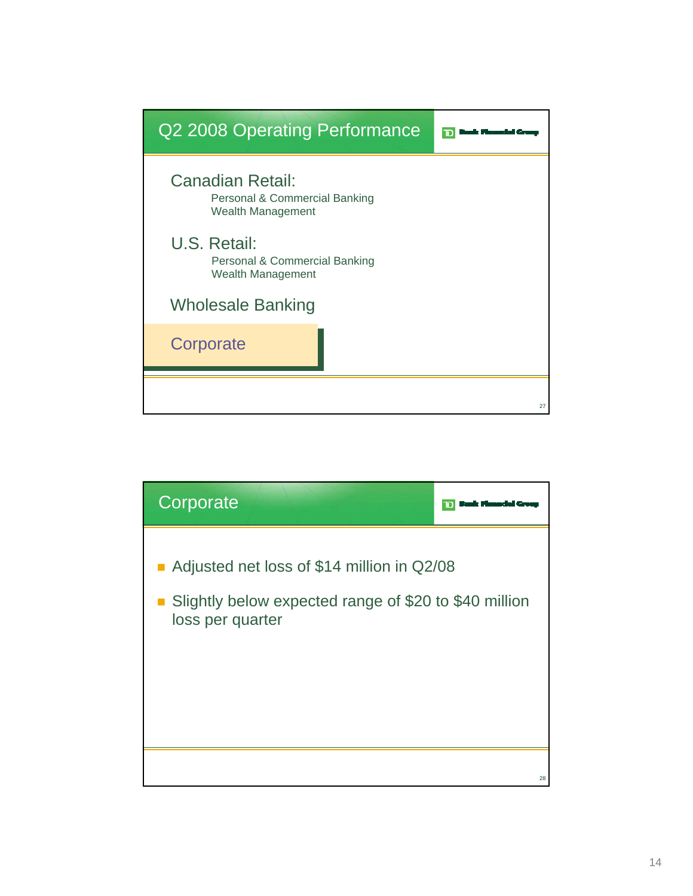

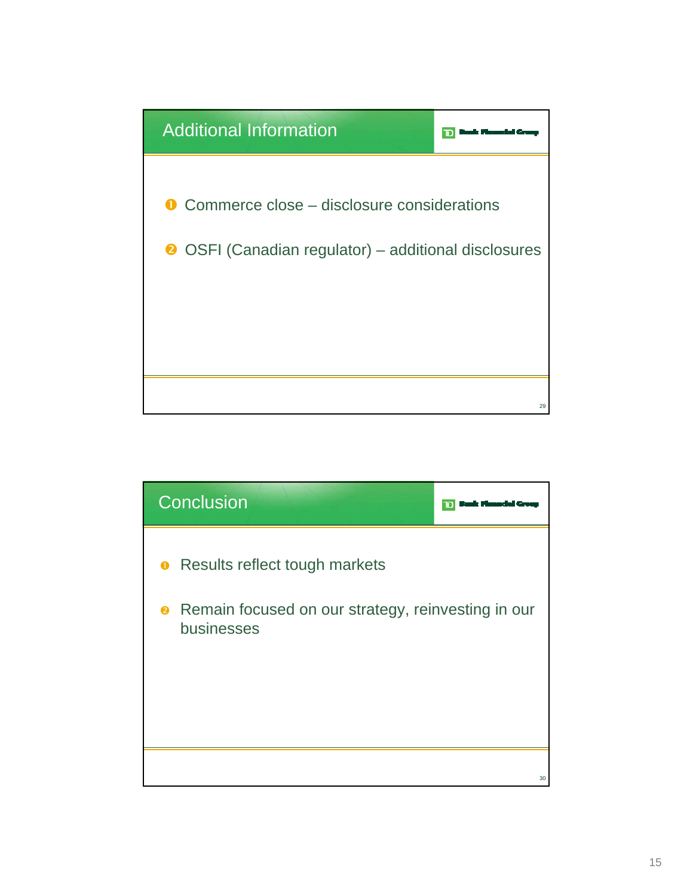